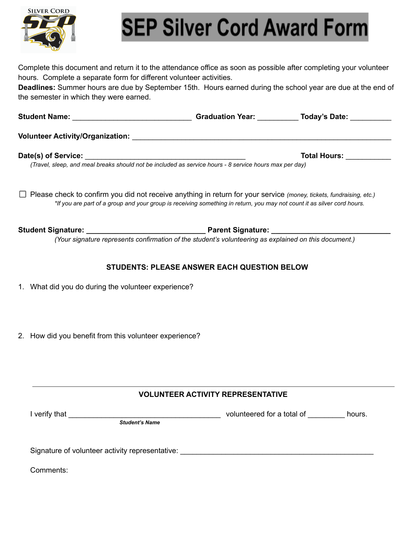

## **SEP Silver Cord Award Form**

Complete this document and return it to the attendance office as soon as possible after completing your volunteer hours. Complete a separate form for different volunteer activities.

**Deadlines:** Summer hours are due by September 15th. Hours earned during the school year are due at the end of the semester in which they were earned.

| <b>Student Name:</b>                    | <b>Graduation Year:</b> | Today's Date:       |  |
|-----------------------------------------|-------------------------|---------------------|--|
| <b>Volunteer Activity/Organization:</b> |                         |                     |  |
| Date(s) of Service:                     |                         | <b>Total Hours:</b> |  |

*(Travel, sleep, and meal breaks should not be included as service hours - 8 service hours max per day)*

Please check to confirm you did not receive anything in return for your service *(money, tickets, fundraising, etc.) \*If you are part of a group and your group is receiving something in return, you may not count it as silver cord hours.*

**Student Signature: \_\_\_\_\_\_\_\_\_\_\_\_\_\_\_\_\_\_\_\_\_\_\_\_\_\_\_\_\_ Parent Signature: \_\_\_\_\_\_\_\_\_\_\_\_\_\_\_\_\_\_\_\_\_\_\_\_\_\_\_\_\_**

*(Your signature represents confirmation of the student's volunteering as explained on this document.)*

## **STUDENTS: PLEASE ANSWER EACH QUESTION BELOW**

- 1. What did you do during the volunteer experience?
- 2. How did you benefit from this volunteer experience?

## **VOLUNTEER ACTIVITY REPRESENTATIVE**

I verify that \_\_\_\_\_\_\_\_\_\_\_\_\_\_\_\_\_\_\_\_\_\_\_\_\_\_\_\_\_\_\_\_\_\_\_\_\_ volunteered for a total of \_\_\_\_\_\_\_\_\_ hours.

*Student's Name*

Signature of volunteer activity representative: \_\_\_\_\_\_\_\_\_\_\_\_\_\_\_\_\_\_\_\_\_\_\_\_\_\_\_\_\_\_\_\_

Comments: